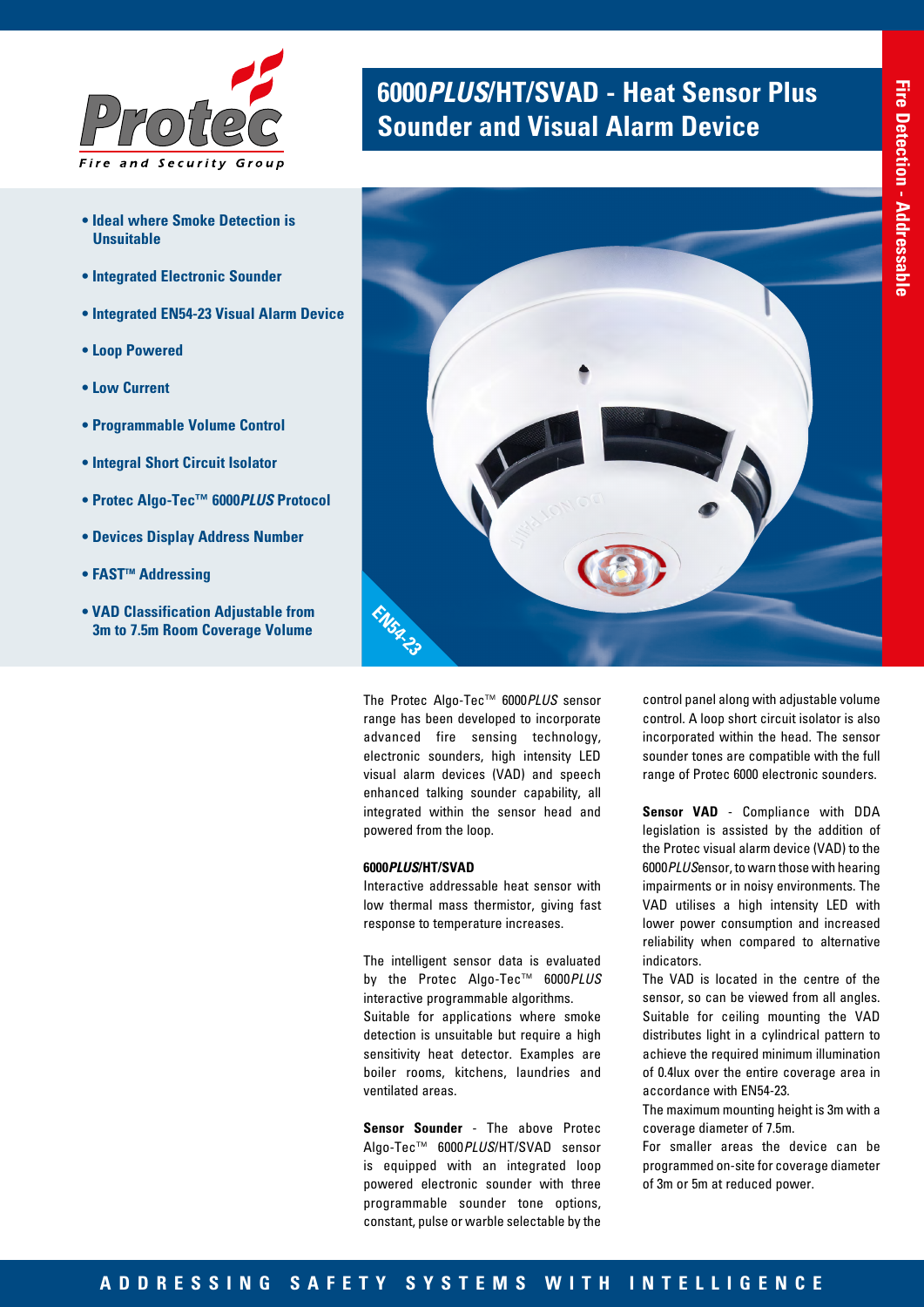

- **Ideal where Smoke Detection is Unsuitable**
- **Integrated Electronic Sounder**
- **Integrated EN54-23 Visual Alarm Device**
- **Loop Powered**
- **Low Current**
- **Programmable Volume Control**
- **Integral Short Circuit Isolator**
- **Protec Algo-Tec™ 6000***PLUS* **Protocol**
- **Devices Display Address Number**
- **FAST<sup>™</sup> Addressing**
- **VAD Classification Adjustable from 3m to 7.5m Room Coverage Volume**

# **6000***PLUS***/HT/SVAD - Heat Sensor Plus Sounder and Visual Alarm Device**



The Protec Algo-Tec™ 6000*PLUS* sensor range has been developed to incorporate advanced fire sensing technology, electronic sounders, high intensity LED visual alarm devices (VAD) and speech enhanced talking sounder capability, all integrated within the sensor head and powered from the loop.

## **6000***PLUS***/HT/SVAD**

Interactive addressable heat sensor with low thermal mass thermistor, giving fast response to temperature increases.

The intelligent sensor data is evaluated by the Protec Algo-Tec™ 6000*PLUS* interactive programmable algorithms. Suitable for applications where smoke detection is unsuitable but require a high sensitivity heat detector. Examples are boiler rooms, kitchens, laundries and ventilated areas.

**Sensor Sounder** - The above Protec Algo-Tec™ 6000*PLUS*/HT/SVAD sensor is equipped with an integrated loop powered electronic sounder with three programmable sounder tone options, constant, pulse or warble selectable by the

control panel along with adjustable volume control. A loop short circuit isolator is also incorporated within the head. The sensor sounder tones are compatible with the full range of Protec 6000 electronic sounders.

**Sensor VAD** - Compliance with DDA legislation is assisted by the addition of the Protec visual alarm device (VAD) to the 6000*PLUS*ensor, to warn those with hearing impairments or in noisy environments. The VAD utilises a high intensity LED with lower power consumption and increased reliability when compared to alternative indicators.

The VAD is located in the centre of the sensor, so can be viewed from all angles. Suitable for ceiling mounting the VAD distributes light in a cylindrical pattern to achieve the required minimum illumination of 0.4lux over the entire coverage area in accordance with EN54-23.

The maximum mounting height is 3m with a coverage diameter of 7.5m.

For smaller areas the device can be programmed on-site for coverage diameter of 3m or 5m at reduced power.